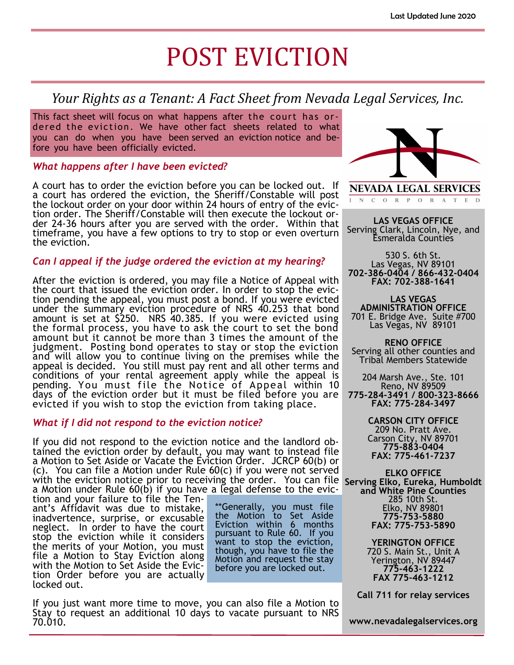# POST EVICTION

### *Your Rights as a Tenant: A Fact Sheet from Nevada Legal Services, Inc.*

This fact sheet will focus on what happens after the court has ordered the eviction. We have other fact sheets related to what you can do when you have been served an eviction notice and before you have been officially evicted.

#### *What happens after I have been evicted?*

A court has to order the eviction before you can be locked out. If a court has ordered the eviction, the Sheriff/Constable will post the lockout order on your door within 24 hours of entry of the eviction order. The Sheriff/Constable will then execute the lockout order 24-36 hours after you are served with the order. Within that timeframe, you have a few options to try to stop or even overturn the eviction.

#### *Can I appeal if the judge ordered the eviction at my hearing?*

After the eviction is ordered, you may file a Notice of Appeal with the court that issued the eviction order. In order to stop the eviction pending the appeal, you must post a bond. If you were evicted under the summary eviction procedure of NRS 40.253 that bond amount is set at \$250. NRS 40.385. If you were evicted using the formal process, you have to ask the court to set the bond amount but it cannot be more than 3 times the amount of the judgment. Posting bond operates to stay or stop the eviction and will allow you to continue living on the premises while the appeal is decided. You still must pay rent and all other terms and conditions of your rental agreement apply while the appeal is pending. You must file the Notice of Appeal within 10 days of the eviction order but it must be filed before you are evicted if you wish to stop the eviction from taking place.

#### *What if I did not respond to the eviction notice?*

If you did not respond to the eviction notice and the landlord obtained the eviction order by default, you may want to instead file a Motion to Set Aside or Vacate the Eviction Order. JCRCP 60(b) or (c). You can file a Motion under Rule 60(c) if you were not served with the eviction notice prior to receiving the order. You can file **Serving Elko, Eureka, Humboldt**  a Motion under Rule 60(b) if you have a legal defense to the evic-

> \*\*Generally, you must file the Motion to Set Aside Eviction within 6 months pursuant to Rule 60. If you want to stop the eviction, though, you have to file the Motion and request the stay before you are locked out.

tion and your failure to file the Tenant's Affidavit was due to mistake, inadvertence, surprise, or excusable neglect. In order to have the court stop the eviction while it considers the merits of your Motion, you must file a Motion to Stay Eviction along with the Motion to Set Aside the Eviction Order before you are actually locked out.

If you just want more time to move, you can also file a Motion to Stay to request an additional 10 days to vacate pursuant to NRS 70.010.



**NEVADA LEGAL SERVICES** N C O R P O R A T E D

**LAS VEGAS OFFICE** Serving Clark, Lincoln, Nye, and Esmeralda Counties

530 S. 6th St. Las Vegas, NV 89101 **702-386-0404 / 866-432-0404 FAX: 702-388-1641**

**LAS VEGAS ADMINISTRATION OFFICE** 701 E. Bridge Ave. Suite #700 Las Vegas, NV 89101

**RENO OFFICE** Serving all other counties and Tribal Members Statewide

204 Marsh Ave., Ste. 101 Reno, NV 89509 **775-284-3491 / 800-323-8666 FAX: 775-284-3497**

> **CARSON CITY OFFICE** 209 No. Pratt Ave. Carson City, NV 89701 **775-883-0404 FAX: 775-461-7237**

**ELKO OFFICE and White Pine Counties** 285 10th St. Elko, NV 89801 **775-753-5880 FAX: 775-753-5890**

> **YERINGTON OFFICE** 720 S. Main St., Unit A Yerington, NV 89447 **775-463-1222 FAX 775-463-1212**

**Call 711 for relay services**

**www.nevadalegalservices.org**